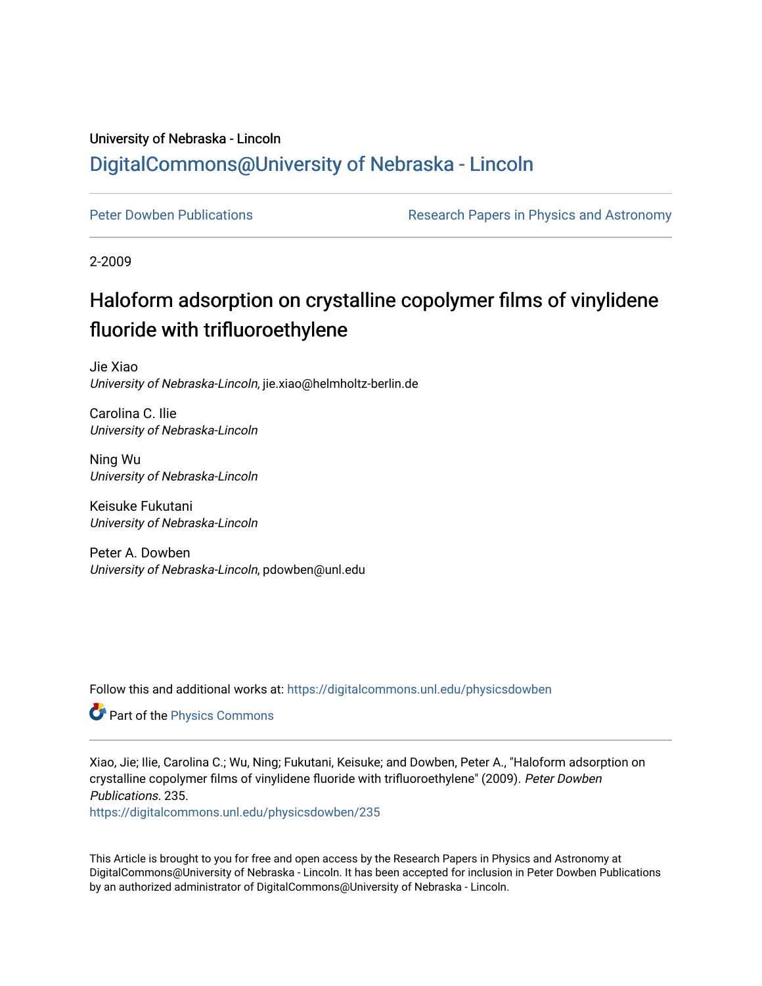# University of Nebraska - Lincoln [DigitalCommons@University of Nebraska - Lincoln](https://digitalcommons.unl.edu/)

[Peter Dowben Publications](https://digitalcommons.unl.edu/physicsdowben) **Research Papers in Physics and Astronomy** 

2-2009

# Haloform adsorption on crystalline copolymer films of vinylidene fluoride with trifluoroethylene

Jie Xiao University of Nebraska-Lincoln, jie.xiao@helmholtz-berlin.de

Carolina C. Ilie University of Nebraska-Lincoln

Ning Wu University of Nebraska-Lincoln

Keisuke Fukutani University of Nebraska-Lincoln

Peter A. Dowben University of Nebraska-Lincoln, pdowben@unl.edu

Follow this and additional works at: [https://digitalcommons.unl.edu/physicsdowben](https://digitalcommons.unl.edu/physicsdowben?utm_source=digitalcommons.unl.edu%2Fphysicsdowben%2F235&utm_medium=PDF&utm_campaign=PDFCoverPages) 

Part of the [Physics Commons](http://network.bepress.com/hgg/discipline/193?utm_source=digitalcommons.unl.edu%2Fphysicsdowben%2F235&utm_medium=PDF&utm_campaign=PDFCoverPages)

Xiao, Jie; Ilie, Carolina C.; Wu, Ning; Fukutani, Keisuke; and Dowben, Peter A., "Haloform adsorption on crystalline copolymer films of vinylidene fluoride with trifluoroethylene" (2009). Peter Dowben Publications. 235.

[https://digitalcommons.unl.edu/physicsdowben/235](https://digitalcommons.unl.edu/physicsdowben/235?utm_source=digitalcommons.unl.edu%2Fphysicsdowben%2F235&utm_medium=PDF&utm_campaign=PDFCoverPages) 

This Article is brought to you for free and open access by the Research Papers in Physics and Astronomy at DigitalCommons@University of Nebraska - Lincoln. It has been accepted for inclusion in Peter Dowben Publications by an authorized administrator of DigitalCommons@University of Nebraska - Lincoln.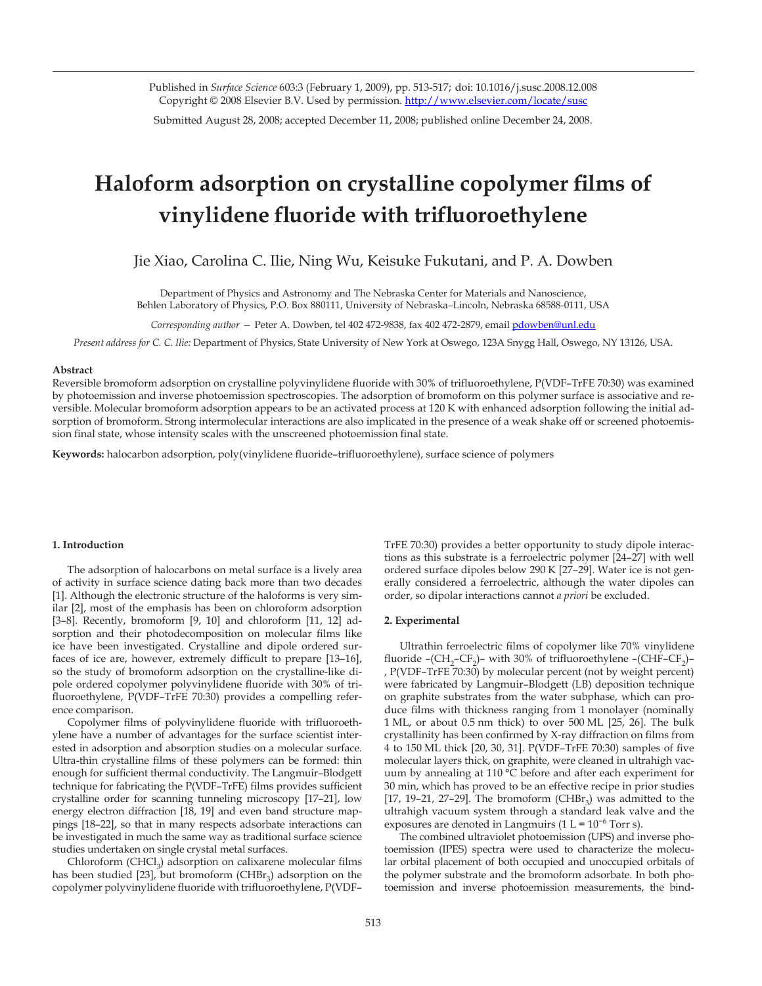Published in *Surface Science* 603:3 (February 1, 2009), pp. 513-517; doi: 10.1016/j.susc.2008.12.008 Copyright © 2008 Elsevier B.V. Used by permission. http://www.elsevier.com/locate/susc

Submitted August 28, 2008; accepted December 11, 2008; published online December 24, 2008.

# **Haloform adsorption on crystalline copolymer films of vinylidene fluoride with trifluoroethylene**

Jie Xiao, Carolina C. Ilie, Ning Wu, Keisuke Fukutani, and P. A. Dowben

Department of Physics and Astronomy and The Nebraska Center for Materials and Nanoscience, Behlen Laboratory of Physics, P.O. Box 880111, University of Nebraska–Lincoln, Nebraska 68588-0111, USA

*Corresponding author —* Peter A. Dowben, tel 402 472-9838, fax 402 472-2879, email pdowben@unl.edu

*Present address for C. C. Ilie:* Department of Physics, State University of New York at Oswego, 123A Snygg Hall, Oswego, NY 13126, USA.

#### **Abstract**

Reversible bromoform adsorption on crystalline polyvinylidene fluoride with 30% of trifluoroethylene, P(VDF–TrFE 70:30) was examined by photoemission and inverse photoemission spectroscopies. The adsorption of bromoform on this polymer surface is associative and reversible. Molecular bromoform adsorption appears to be an activated process at 120 K with enhanced adsorption following the initial adsorption of bromoform. Strong intermolecular interactions are also implicated in the presence of a weak shake off or screened photoemission final state, whose intensity scales with the unscreened photoemission final state.

**Keywords:** halocarbon adsorption, poly(vinylidene fluoride–trifluoroethylene), surface science of polymers

#### **1. Introduction**

The adsorption of halocarbons on metal surface is a lively area of activity in surface science dating back more than two decades [1]. Although the electronic structure of the haloforms is very similar [2], most of the emphasis has been on chloroform adsorption [3-8]. Recently, bromoform [9, 10] and chloroform [11, 12] adsorption and their photodecomposition on molecular films like ice have been investigated. Crystalline and dipole ordered surfaces of ice are, however, extremely difficult to prepare [13–16], so the study of bromoform adsorption on the crystalline-like dipole ordered copolymer polyvinylidene fluoride with 30% of trifluoroethylene, P(VDF–TrFE 70:30) provides a compelling reference comparison.

Copolymer films of polyvinylidene fluoride with trifluoroethylene have a number of advantages for the surface scientist interested in adsorption and absorption studies on a molecular surface. Ultra-thin crystalline films of these polymers can be formed: thin enough for sufficient thermal conductivity. The Langmuir–Blodgett technique for fabricating the P(VDF–TrFE) films provides sufficient crystalline order for scanning tunneling microscopy [17–21], low energy electron diffraction [18, 19] and even band structure mappings [18–22], so that in many respects adsorbate interactions can be investigated in much the same way as traditional surface science studies undertaken on single crystal metal surfaces.

Chloroform  $(CHCl<sub>3</sub>)$  adsorption on calixarene molecular films has been studied [23], but bromoform (CHB $r_3$ ) adsorption on the copolymer polyvinylidene fluoride with trifluoroethylene, P(VDF–

TrFE 70:30) provides a better opportunity to study dipole interactions as this substrate is a ferroelectric polymer [24–27] with well ordered surface dipoles below 290 K [27–29]. Water ice is not generally considered a ferroelectric, although the water dipoles can order, so dipolar interactions cannot *a priori* be excluded.

## **2. Experimental**

Ultrathin ferroelectric films of copolymer like 70% vinylidene fluoride  $-(CH<sub>2</sub>-CF<sub>2</sub>)$ – with 30% of trifluoroethylene  $-(CHF-CF<sub>2</sub>)$ – , P(VDF–TrFE 70:30) by molecular percent (not by weight percent) were fabricated by Langmuir–Blodgett (LB) deposition technique on graphite substrates from the water subphase, which can produce films with thickness ranging from 1 monolayer (nominally 1 ML, or about 0.5 nm thick) to over 500 ML [25, 26]. The bulk crystallinity has been confirmed by X-ray diffraction on films from 4 to 150 ML thick [20, 30, 31]. P(VDF–TrFE 70:30) samples of five molecular layers thick, on graphite, were cleaned in ultrahigh vacuum by annealing at 110 °C before and after each experiment for 30 min, which has proved to be an effective recipe in prior studies [17, 19-21, 27-29]. The bromoform (CHBr<sub>3</sub>) was admitted to the ultrahigh vacuum system through a standard leak valve and the exposures are denoted in Langmuirs (1 L =  $10^{-6}$  Torr s).

The combined ultraviolet photoemission (UPS) and inverse photoemission (IPES) spectra were used to characterize the molecular orbital placement of both occupied and unoccupied orbitals of the polymer substrate and the bromoform adsorbate. In both photoemission and inverse photoemission measurements, the bind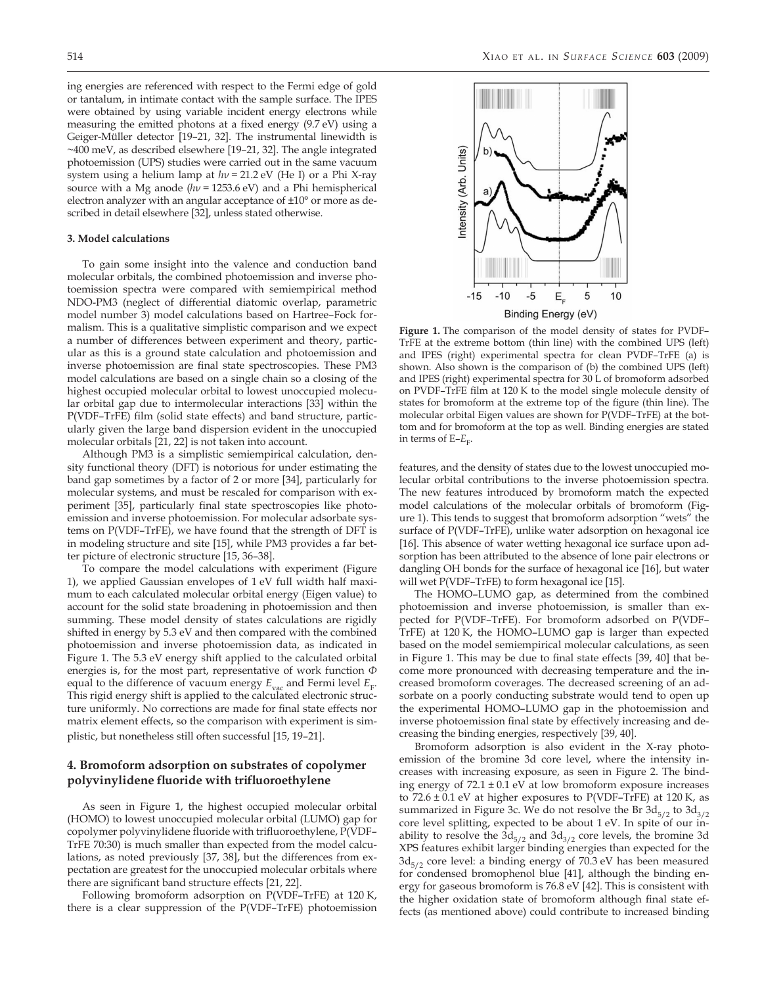ing energies are referenced with respect to the Fermi edge of gold or tantalum, in intimate contact with the sample surface. The IPES were obtained by using variable incident energy electrons while measuring the emitted photons at a fixed energy (9.7 eV) using a Geiger-Müller detector [19–21, 32]. The instrumental linewidth is ~400 meV, as described elsewhere [19–21, 32]. The angle integrated photoemission (UPS) studies were carried out in the same vacuum system using a helium lamp at *hν* = 21.2 eV (He I) or a Phi X-ray source with a Mg anode (*hν* = 1253.6 eV) and a Phi hemispherical electron analyzer with an angular acceptance of ±10° or more as described in detail elsewhere [32], unless stated otherwise.

# **3. Model calculations**

To gain some insight into the valence and conduction band molecular orbitals, the combined photoemission and inverse photoemission spectra were compared with semiempirical method NDO-PM3 (neglect of differential diatomic overlap, parametric model number 3) model calculations based on Hartree–Fock formalism. This is a qualitative simplistic comparison and we expect a number of differences between experiment and theory, particular as this is a ground state calculation and photoemission and inverse photoemission are final state spectroscopies. These PM3 model calculations are based on a single chain so a closing of the highest occupied molecular orbital to lowest unoccupied molecular orbital gap due to intermolecular interactions [33] within the P(VDF–TrFE) film (solid state effects) and band structure, particularly given the large band dispersion evident in the unoccupied molecular orbitals [21, 22] is not taken into account.

Although PM3 is a simplistic semiempirical calculation, density functional theory (DFT) is notorious for under estimating the band gap sometimes by a factor of 2 or more [34], particularly for molecular systems, and must be rescaled for comparison with experiment [35], particularly final state spectroscopies like photoemission and inverse photoemission. For molecular adsorbate systems on P(VDF–TrFE), we have found that the strength of DFT is in modeling structure and site [15], while PM3 provides a far better picture of electronic structure [15, 36–38].

To compare the model calculations with experiment (Figure 1), we applied Gaussian envelopes of 1 eV full width half maximum to each calculated molecular orbital energy (Eigen value) to account for the solid state broadening in photoemission and then summing. These model density of states calculations are rigidly shifted in energy by 5.3 eV and then compared with the combined photoemission and inverse photoemission data, as indicated in Figure 1. The 5.3 eV energy shift applied to the calculated orbital energies is, for the most part, representative of work function *Φ* equal to the difference of vacuum energy  $E_{\text{vac}}$  and Fermi level  $E_{\text{F}}$ . This rigid energy shift is applied to the calculated electronic structure uniformly. No corrections are made for final state effects nor matrix element effects, so the comparison with experiment is simplistic, but nonetheless still often successful [15, 19–21].

# **4. Bromoform adsorption on substrates of copolymer polyvinylidene fluoride with trifluoroethylene**

As seen in Figure 1, the highest occupied molecular orbital (HOMO) to lowest unoccupied molecular orbital (LUMO) gap for copolymer polyvinylidene fluoride with trifluoroethylene, P(VDF– TrFE 70:30) is much smaller than expected from the model calculations, as noted previously [37, 38], but the differences from expectation are greatest for the unoccupied molecular orbitals where there are significant band structure effects [21, 22].

Following bromoform adsorption on P(VDF–TrFE) at 120 K, there is a clear suppression of the P(VDF–TrFE) photoemission



**Figure 1.** The comparison of the model density of states for PVDF– TrFE at the extreme bottom (thin line) with the combined UPS (left) and IPES (right) experimental spectra for clean PVDF–TrFE (a) is shown. Also shown is the comparison of (b) the combined UPS (left) and IPES (right) experimental spectra for 30 L of bromoform adsorbed on PVDF–TrFE film at 120 K to the model single molecule density of states for bromoform at the extreme top of the figure (thin line). The molecular orbital Eigen values are shown for P(VDF–TrFE) at the bottom and for bromoform at the top as well. Binding energies are stated in terms of  $E-E<sub>F</sub>$ .

features, and the density of states due to the lowest unoccupied molecular orbital contributions to the inverse photoemission spectra. The new features introduced by bromoform match the expected model calculations of the molecular orbitals of bromoform (Figure 1). This tends to suggest that bromoform adsorption "wets" the surface of P(VDF–TrFE), unlike water adsorption on hexagonal ice [16]. This absence of water wetting hexagonal ice surface upon adsorption has been attributed to the absence of lone pair electrons or dangling OH bonds for the surface of hexagonal ice [16], but water will wet P(VDF–TrFE) to form hexagonal ice [15].

The HOMO–LUMO gap, as determined from the combined photoemission and inverse photoemission, is smaller than expected for P(VDF–TrFE). For bromoform adsorbed on P(VDF– TrFE) at 120 K, the HOMO–LUMO gap is larger than expected based on the model semiempirical molecular calculations, as seen in Figure 1. This may be due to final state effects [39, 40] that become more pronounced with decreasing temperature and the increased bromoform coverages. The decreased screening of an adsorbate on a poorly conducting substrate would tend to open up the experimental HOMO–LUMO gap in the photoemission and inverse photoemission final state by effectively increasing and decreasing the binding energies, respectively [39, 40].

Bromoform adsorption is also evident in the X-ray photoemission of the bromine 3d core level, where the intensity increases with increasing exposure, as seen in Figure 2. The binding energy of  $72.1 \pm 0.1$  eV at low bromoform exposure increases to  $72.6 \pm 0.1$  eV at higher exposures to P(VDF–TrFE) at 120 K, as summarized in Figure 3c. We do not resolve the Br  $3d_{5/2}$  to  $3d_{3/2}$ core level splitting, expected to be about 1 eV. In spite of our inability to resolve the  $3d_{5/2}$  and  $3d_{3/2}$  core levels, the bromine 3d XPS features exhibit larger binding energies than expected for the  $3d_{5/2}$  core level: a binding energy of 70.3 eV has been measured for condensed bromophenol blue [41], although the binding energy for gaseous bromoform is 76.8 eV [42]. This is consistent with the higher oxidation state of bromoform although final state effects (as mentioned above) could contribute to increased binding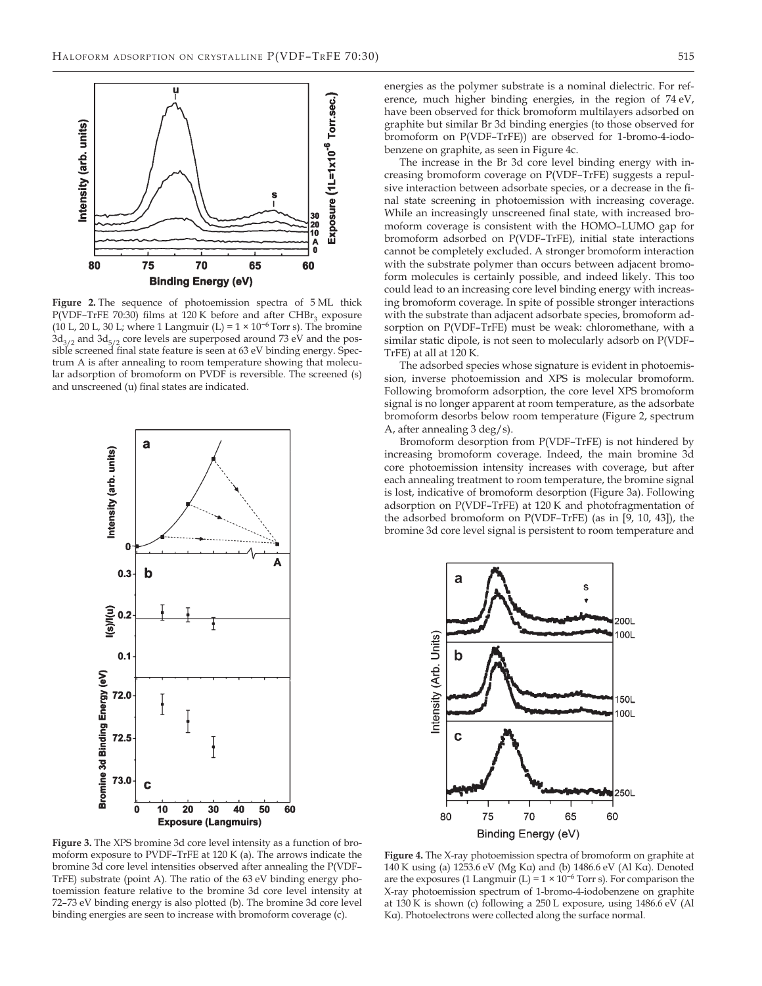

**Figure 2.** The sequence of photoemission spectra of 5 ML thick P(VDF–TrFE 70:30) films at 120 K before and after  $CHBr_3$  exposure (10 L, 20 L, 30 L; where 1 Langmuir (L) =  $1 \times 10^{-6}$  Torr s). The bromine  $3d_{3/2}$  and  $3d_{5/2}$  core levels are superposed around 73 eV and the possible screened final state feature is seen at 63 eV binding energy. Spectrum A is after annealing to room temperature showing that molecular adsorption of bromoform on PVDF is reversible. The screened (s) and unscreened (u) final states are indicated.



energies as the polymer substrate is a nominal dielectric. For reference, much higher binding energies, in the region of 74 eV, have been observed for thick bromoform multilayers adsorbed on graphite but similar Br 3d binding energies (to those observed for bromoform on P(VDF–TrFE)) are observed for 1-bromo-4-iodobenzene on graphite, as seen in Figure 4c.

The increase in the Br 3d core level binding energy with increasing bromoform coverage on P(VDF–TrFE) suggests a repulsive interaction between adsorbate species, or a decrease in the final state screening in photoemission with increasing coverage. While an increasingly unscreened final state, with increased bromoform coverage is consistent with the HOMO–LUMO gap for bromoform adsorbed on P(VDF–TrFE), initial state interactions cannot be completely excluded. A stronger bromoform interaction with the substrate polymer than occurs between adjacent bromoform molecules is certainly possible, and indeed likely. This too could lead to an increasing core level binding energy with increasing bromoform coverage. In spite of possible stronger interactions with the substrate than adjacent adsorbate species, bromoform adsorption on P(VDF–TrFE) must be weak: chloromethane, with a similar static dipole, is not seen to molecularly adsorb on P(VDF– TrFE) at all at 120 K.

The adsorbed species whose signature is evident in photoemission, inverse photoemission and XPS is molecular bromoform. Following bromoform adsorption, the core level XPS bromoform signal is no longer apparent at room temperature, as the adsorbate bromoform desorbs below room temperature (Figure 2, spectrum A, after annealing 3 deg/s).

Bromoform desorption from P(VDF–TrFE) is not hindered by increasing bromoform coverage. Indeed, the main bromine 3d core photoemission intensity increases with coverage, but after each annealing treatment to room temperature, the bromine signal is lost, indicative of bromoform desorption (Figure 3a). Following adsorption on P(VDF–TrFE) at 120 K and photofragmentation of the adsorbed bromoform on P(VDF–TrFE) (as in [9, 10, 43]), the bromine 3d core level signal is persistent to room temperature and



**Figure 3.** The XPS bromine 3d core level intensity as a function of bromoform exposure to PVDF–TrFE at 120 K (a). The arrows indicate the bromine 3d core level intensities observed after annealing the P(VDF– TrFE) substrate (point A). The ratio of the 63 eV binding energy photoemission feature relative to the bromine 3d core level intensity at 72–73 eV binding energy is also plotted (b). The bromine 3d core level binding energies are seen to increase with bromoform coverage (c).

**Figure 4.** The X-ray photoemission spectra of bromoform on graphite at 140 K using (a) 1253.6 eV (Mg Kα) and (b) 1486.6 eV (Al Kα). Denoted are the exposures (1 Langmuir (L) =  $1 \times 10^{-6}$  Torr s). For comparison the X-ray photoemission spectrum of 1-bromo-4-iodobenzene on graphite at 130 K is shown (c) following a 250 L exposure, using 1486.6 eV (Al Kα). Photoelectrons were collected along the surface normal.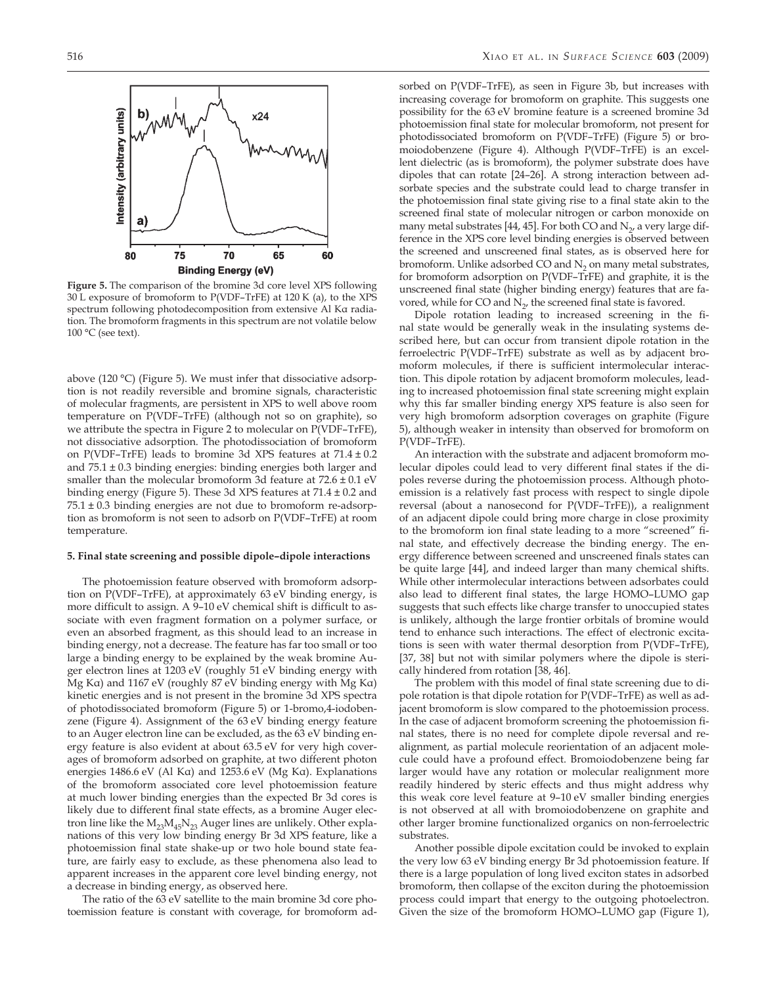

**Figure 5.** The comparison of the bromine 3d core level XPS following 30 L exposure of bromoform to P(VDF–TrFE) at 120 K (a), to the XPS spectrum following photodecomposition from extensive Al Kα radiation. The bromoform fragments in this spectrum are not volatile below 100 °C (see text).

above (120 °C) (Figure 5). We must infer that dissociative adsorption is not readily reversible and bromine signals, characteristic of molecular fragments, are persistent in XPS to well above room temperature on P(VDF–TrFE) (although not so on graphite), so we attribute the spectra in Figure 2 to molecular on P(VDF–TrFE), not dissociative adsorption. The photodissociation of bromoform on P(VDF–TrFE) leads to bromine 3d XPS features at  $71.4 \pm 0.2$ and 75.1 ± 0.3 binding energies: binding energies both larger and smaller than the molecular bromoform 3d feature at 72.6 ± 0.1 eV binding energy (Figure 5). These 3d XPS features at  $71.4 \pm 0.2$  and  $75.1 \pm 0.3$  binding energies are not due to bromoform re-adsorption as bromoform is not seen to adsorb on P(VDF–TrFE) at room temperature.

### **5. Final state screening and possible dipole–dipole interactions**

The photoemission feature observed with bromoform adsorption on P(VDF–TrFE), at approximately 63 eV binding energy, is more difficult to assign. A 9–10 eV chemical shift is difficult to associate with even fragment formation on a polymer surface, or even an absorbed fragment, as this should lead to an increase in binding energy, not a decrease. The feature has far too small or too large a binding energy to be explained by the weak bromine Auger electron lines at 1203 eV (roughly 51 eV binding energy with Mg Kα) and 1167 eV (roughly 87 eV binding energy with Mg Kα) kinetic energies and is not present in the bromine 3d XPS spectra of photodissociated bromoform (Figure 5) or 1-bromo,4-iodobenzene (Figure 4). Assignment of the 63 eV binding energy feature to an Auger electron line can be excluded, as the 63 eV binding energy feature is also evident at about 63.5 eV for very high coverages of bromoform adsorbed on graphite, at two different photon energies 1486.6 eV (Al Kα) and 1253.6 eV (Mg Kα). Explanations of the bromoform associated core level photoemission feature at much lower binding energies than the expected Br 3d cores is likely due to different final state effects, as a bromine Auger electron line like the  $M_{23}M_{45}N_{23}$  Auger lines are unlikely. Other explanations of this very low binding energy Br 3d XPS feature, like a photoemission final state shake-up or two hole bound state feature, are fairly easy to exclude, as these phenomena also lead to apparent increases in the apparent core level binding energy, not a decrease in binding energy, as observed here.

The ratio of the 63 eV satellite to the main bromine 3d core photoemission feature is constant with coverage, for bromoform ad-

sorbed on P(VDF–TrFE), as seen in Figure 3b, but increases with increasing coverage for bromoform on graphite. This suggests one possibility for the 63 eV bromine feature is a screened bromine 3d photoemission final state for molecular bromoform, not present for photodissociated bromoform on P(VDF–TrFE) (Figure 5) or bromoiodobenzene (Figure 4). Although P(VDF–TrFE) is an excellent dielectric (as is bromoform), the polymer substrate does have dipoles that can rotate [24–26]. A strong interaction between adsorbate species and the substrate could lead to charge transfer in the photoemission final state giving rise to a final state akin to the screened final state of molecular nitrogen or carbon monoxide on many metal substrates [44, 45]. For both CO and  $N<sub>2</sub>$ , a very large difference in the XPS core level binding energies is observed between the screened and unscreened final states, as is observed here for bromoform. Unlike adsorbed CO and  $N<sub>2</sub>$  on many metal substrates, for bromoform adsorption on P(VDF–TrFE) and graphite, it is the unscreened final state (higher binding energy) features that are favored, while for CO and  $N_{2}$ , the screened final state is favored.

Dipole rotation leading to increased screening in the final state would be generally weak in the insulating systems described here, but can occur from transient dipole rotation in the ferroelectric P(VDF–TrFE) substrate as well as by adjacent bromoform molecules, if there is sufficient intermolecular interaction. This dipole rotation by adjacent bromoform molecules, leading to increased photoemission final state screening might explain why this far smaller binding energy XPS feature is also seen for very high bromoform adsorption coverages on graphite (Figure 5), although weaker in intensity than observed for bromoform on P(VDF–TrFE).

An interaction with the substrate and adjacent bromoform molecular dipoles could lead to very different final states if the dipoles reverse during the photoemission process. Although photoemission is a relatively fast process with respect to single dipole reversal (about a nanosecond for P(VDF–TrFE)), a realignment of an adjacent dipole could bring more charge in close proximity to the bromoform ion final state leading to a more "screened" final state, and effectively decrease the binding energy. The energy difference between screened and unscreened finals states can be quite large [44], and indeed larger than many chemical shifts. While other intermolecular interactions between adsorbates could also lead to different final states, the large HOMO–LUMO gap suggests that such effects like charge transfer to unoccupied states is unlikely, although the large frontier orbitals of bromine would tend to enhance such interactions. The effect of electronic excitations is seen with water thermal desorption from P(VDF–TrFE), [37, 38] but not with similar polymers where the dipole is sterically hindered from rotation [38, 46].

The problem with this model of final state screening due to dipole rotation is that dipole rotation for P(VDF–TrFE) as well as adjacent bromoform is slow compared to the photoemission process. In the case of adjacent bromoform screening the photoemission final states, there is no need for complete dipole reversal and realignment, as partial molecule reorientation of an adjacent molecule could have a profound effect. Bromoiodobenzene being far larger would have any rotation or molecular realignment more readily hindered by steric effects and thus might address why this weak core level feature at 9–10 eV smaller binding energies is not observed at all with bromoiodobenzene on graphite and other larger bromine functionalized organics on non-ferroelectric substrates.

Another possible dipole excitation could be invoked to explain the very low 63 eV binding energy Br 3d photoemission feature. If there is a large population of long lived exciton states in adsorbed bromoform, then collapse of the exciton during the photoemission process could impart that energy to the outgoing photoelectron. Given the size of the bromoform HOMO–LUMO gap (Figure 1),